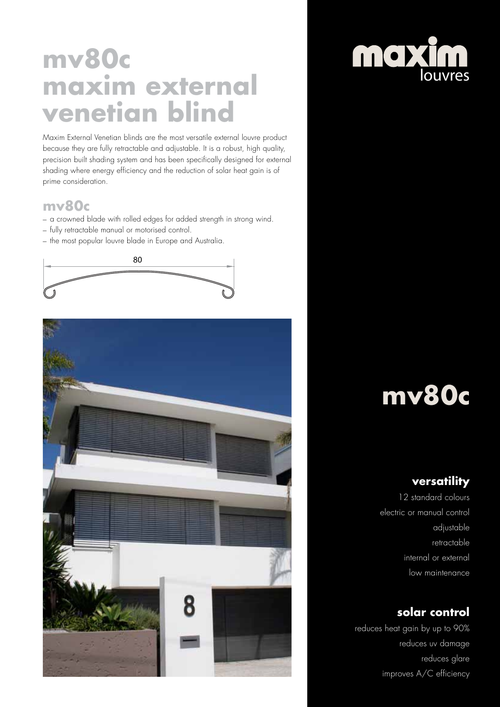# **mv80c maxim external venetian blind**

Maxim External Venetian blinds are the most versatile external louvre product because they are fully retractable and adjustable. It is a robust, high quality, precision built shading system and has been specifically designed for external shading where energy efficiency and the reduction of solar heat gain is of prime consideration.

### **mv80c**

- a crowned blade with rolled edges for added strength in strong wind.
- fully retractable manual or motorised control.
- the most popular louvre blade in Europe and Australia.





# **maxim**

# **mv80c**

### **versatility**

12 standard colours electric or manual control adjustable retractable internal or external low maintenance

### **solar control**

reduces heat gain by up to 90% reduces uv damage reduces glare improves A/C efficiency